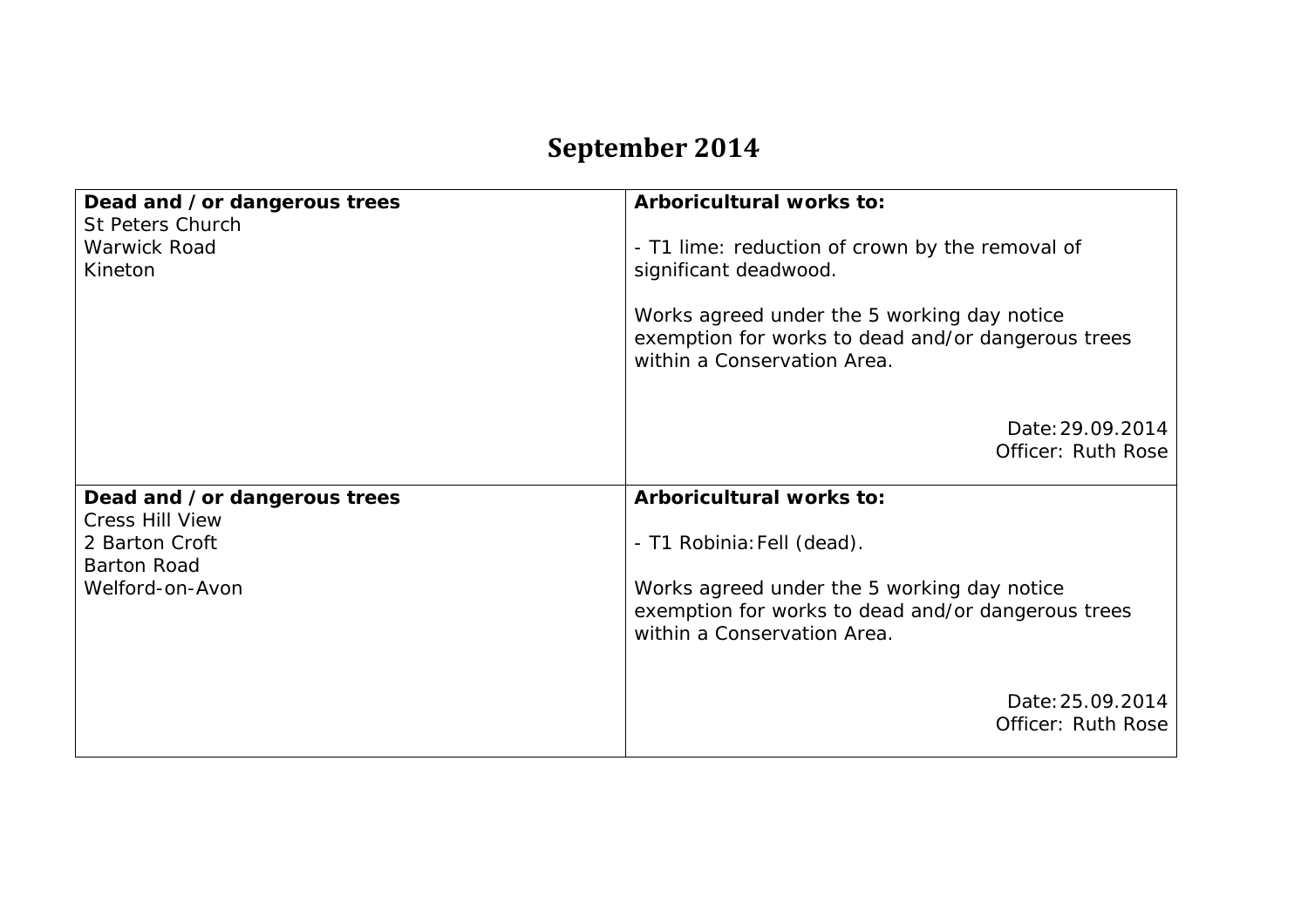## **September 2014**

| Dead and /or dangerous trees                       | Arboricultural works to:                                                                                                         |
|----------------------------------------------------|----------------------------------------------------------------------------------------------------------------------------------|
| St Peters Church<br><b>Warwick Road</b><br>Kineton | - T1 lime: reduction of crown by the removal of<br>significant deadwood.                                                         |
|                                                    | Works agreed under the 5 working day notice<br>exemption for works to dead and/or dangerous trees<br>within a Conservation Area. |
|                                                    | Date: 29.09.2014<br><b>Officer: Ruth Rose</b>                                                                                    |
| Dead and /or dangerous trees                       | Arboricultural works to:                                                                                                         |
| <b>Cress Hill View</b>                             |                                                                                                                                  |
| 2 Barton Croft<br><b>Barton Road</b>               | - T1 Robinia: Fell (dead).                                                                                                       |
| Welford-on-Avon                                    | Works agreed under the 5 working day notice<br>exemption for works to dead and/or dangerous trees<br>within a Conservation Area. |
|                                                    |                                                                                                                                  |
|                                                    | Date: 25.09.2014<br>Officer: Ruth Rose                                                                                           |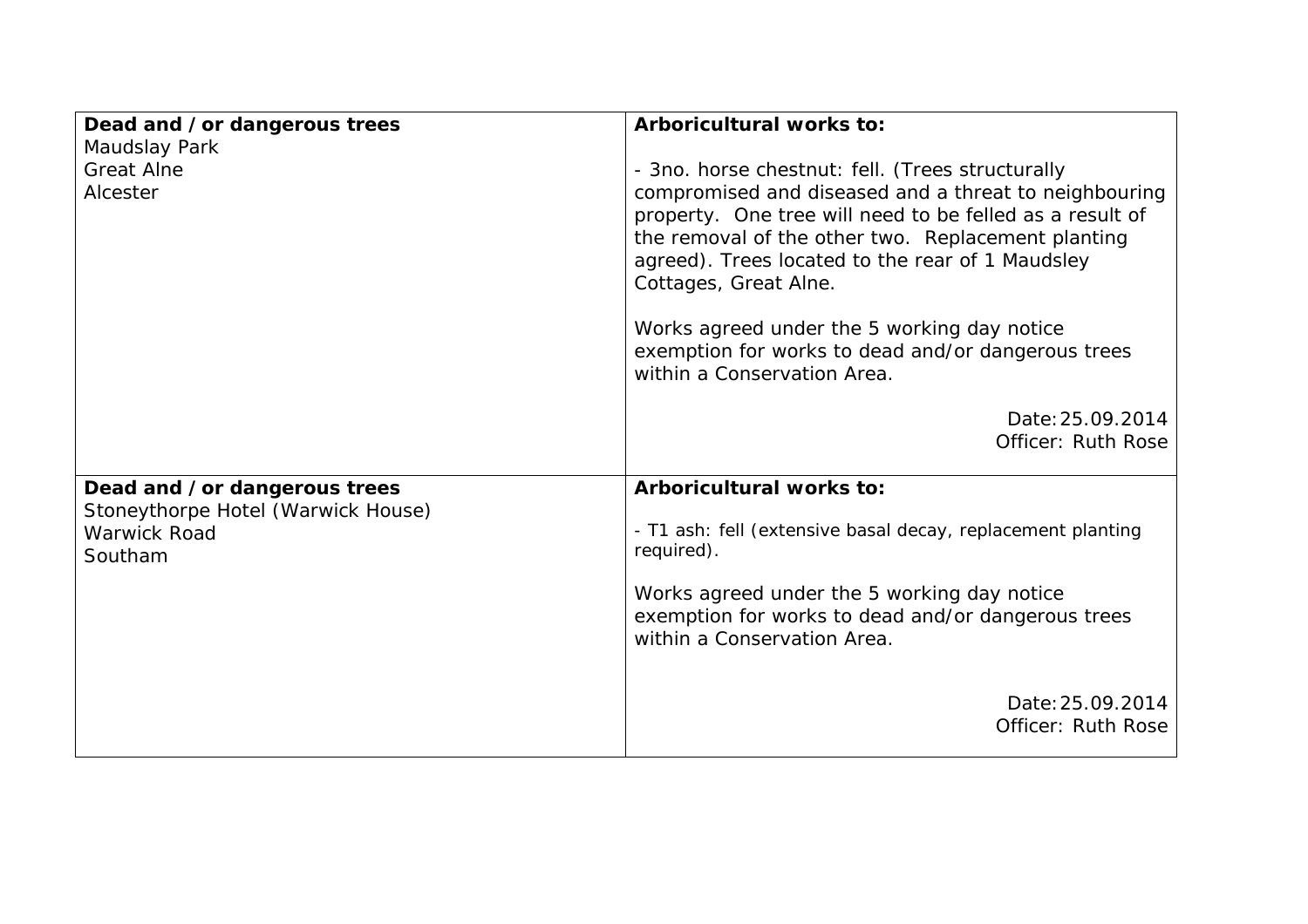| Dead and /or dangerous trees                                  | Arboricultural works to:                                                                                                                                                                                                                             |
|---------------------------------------------------------------|------------------------------------------------------------------------------------------------------------------------------------------------------------------------------------------------------------------------------------------------------|
| Maudslay Park<br><b>Great Alne</b>                            | - 3no. horse chestnut: fell. (Trees structurally                                                                                                                                                                                                     |
| Alcester                                                      | compromised and diseased and a threat to neighbouring<br>property. One tree will need to be felled as a result of<br>the removal of the other two. Replacement planting<br>agreed). Trees located to the rear of 1 Maudsley<br>Cottages, Great Alne. |
|                                                               | Works agreed under the 5 working day notice<br>exemption for works to dead and/or dangerous trees<br>within a Conservation Area.                                                                                                                     |
|                                                               | Date: 25.09.2014<br>Officer: Ruth Rose                                                                                                                                                                                                               |
| Dead and /or dangerous trees                                  | Arboricultural works to:                                                                                                                                                                                                                             |
| Stoneythorpe Hotel (Warwick House)<br>Warwick Road<br>Southam | - T1 ash: fell (extensive basal decay, replacement planting<br>required).                                                                                                                                                                            |
|                                                               | Works agreed under the 5 working day notice<br>exemption for works to dead and/or dangerous trees<br>within a Conservation Area.                                                                                                                     |
|                                                               | Date: 25.09.2014<br>Officer: Ruth Rose                                                                                                                                                                                                               |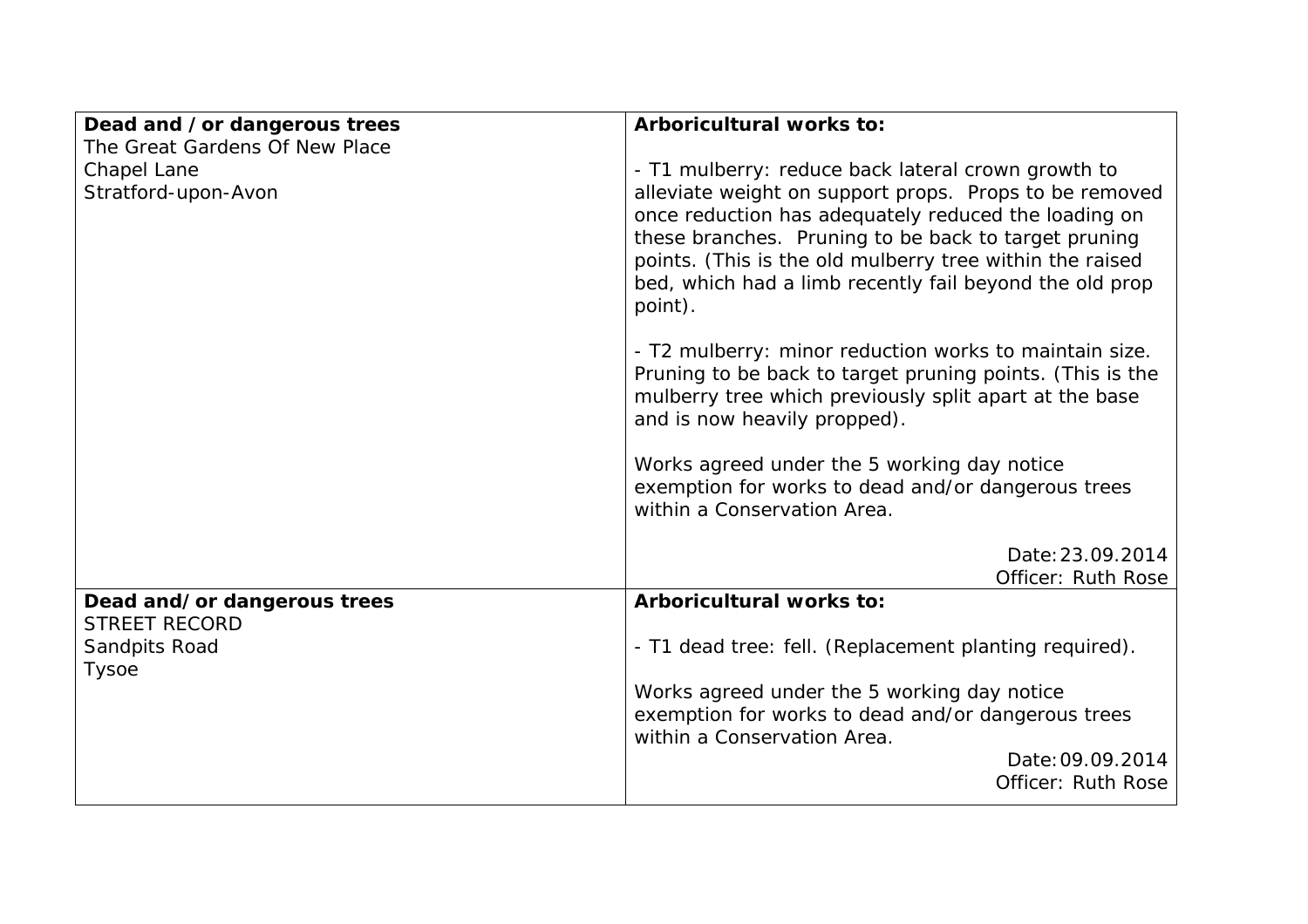| Dead and /or dangerous trees                          | Arboricultural works to:                                                                                                                                                                                                                                                                                 |
|-------------------------------------------------------|----------------------------------------------------------------------------------------------------------------------------------------------------------------------------------------------------------------------------------------------------------------------------------------------------------|
| The Great Gardens Of New Place                        |                                                                                                                                                                                                                                                                                                          |
| Chapel Lane                                           | - T1 mulberry: reduce back lateral crown growth to                                                                                                                                                                                                                                                       |
| Stratford-upon-Avon                                   | alleviate weight on support props. Props to be removed<br>once reduction has adequately reduced the loading on<br>these branches. Pruning to be back to target pruning<br>points. (This is the old mulberry tree within the raised<br>bed, which had a limb recently fail beyond the old prop<br>point). |
|                                                       | - T2 mulberry: minor reduction works to maintain size.<br>Pruning to be back to target pruning points. (This is the<br>mulberry tree which previously split apart at the base<br>and is now heavily propped).                                                                                            |
|                                                       | Works agreed under the 5 working day notice<br>exemption for works to dead and/or dangerous trees<br>within a Conservation Area.                                                                                                                                                                         |
|                                                       | Date: 23.09.2014                                                                                                                                                                                                                                                                                         |
|                                                       | <b>Officer: Ruth Rose</b>                                                                                                                                                                                                                                                                                |
| Dead and/or dangerous trees                           | Arboricultural works to:                                                                                                                                                                                                                                                                                 |
| <b>STREET RECORD</b><br>Sandpits Road<br><b>Tysoe</b> | - T1 dead tree: fell. (Replacement planting required).                                                                                                                                                                                                                                                   |
|                                                       | Works agreed under the 5 working day notice<br>exemption for works to dead and/or dangerous trees<br>within a Conservation Area.                                                                                                                                                                         |
|                                                       | Date: 09.09.2014<br>Officer: Ruth Rose                                                                                                                                                                                                                                                                   |